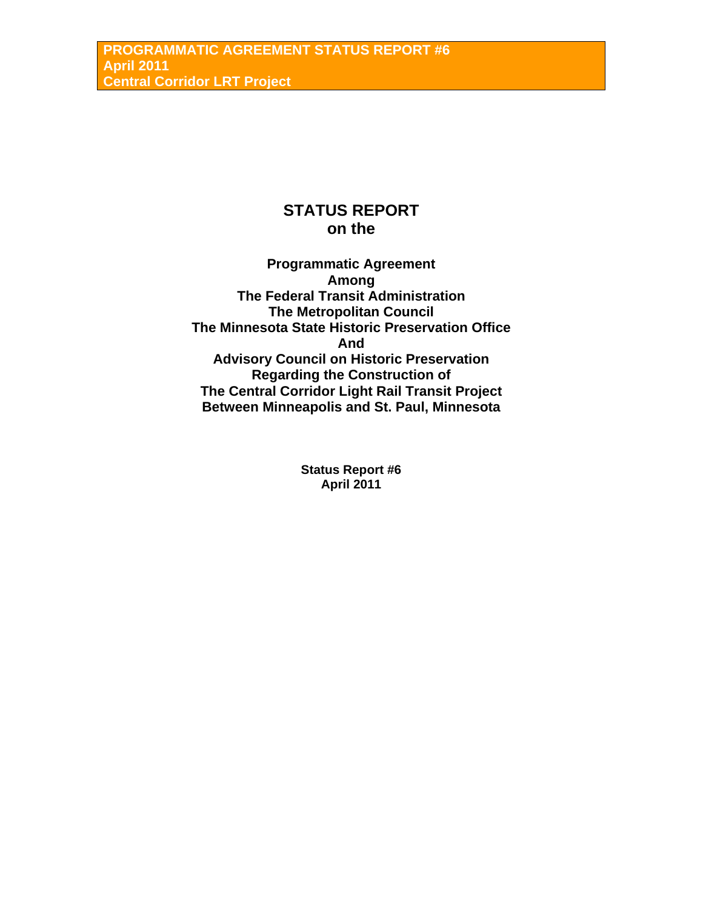# **STATUS REPORT on the**

**Programmatic Agreement Among The Federal Transit Administration The Metropolitan Council The Minnesota State Historic Preservation Office And Advisory Council on Historic Preservation Regarding the Construction of The Central Corridor Light Rail Transit Project Between Minneapolis and St. Paul, Minnesota** 

> **Status Report #6 April 2011**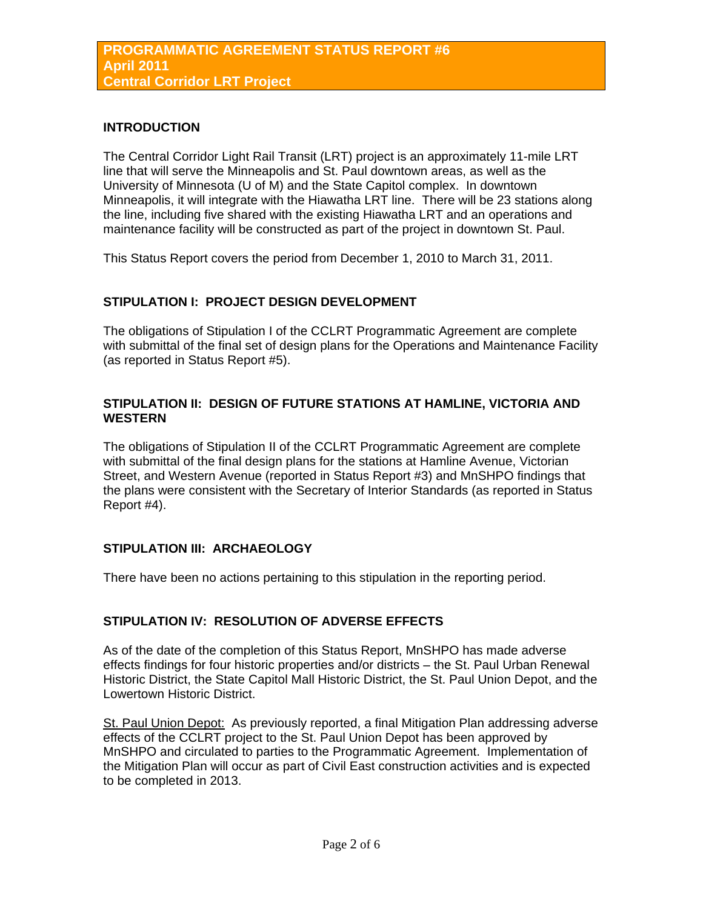# **INTRODUCTION**

The Central Corridor Light Rail Transit (LRT) project is an approximately 11-mile LRT line that will serve the Minneapolis and St. Paul downtown areas, as well as the University of Minnesota (U of M) and the State Capitol complex. In downtown Minneapolis, it will integrate with the Hiawatha LRT line. There will be 23 stations along the line, including five shared with the existing Hiawatha LRT and an operations and maintenance facility will be constructed as part of the project in downtown St. Paul.

This Status Report covers the period from December 1, 2010 to March 31, 2011.

## **STIPULATION I: PROJECT DESIGN DEVELOPMENT**

The obligations of Stipulation I of the CCLRT Programmatic Agreement are complete with submittal of the final set of design plans for the Operations and Maintenance Facility (as reported in Status Report #5).

# **STIPULATION II: DESIGN OF FUTURE STATIONS AT HAMLINE, VICTORIA AND WESTERN**

The obligations of Stipulation II of the CCLRT Programmatic Agreement are complete with submittal of the final design plans for the stations at Hamline Avenue, Victorian Street, and Western Avenue (reported in Status Report #3) and MnSHPO findings that the plans were consistent with the Secretary of Interior Standards (as reported in Status Report #4).

## **STIPULATION III: ARCHAEOLOGY**

There have been no actions pertaining to this stipulation in the reporting period.

## **STIPULATION IV: RESOLUTION OF ADVERSE EFFECTS**

As of the date of the completion of this Status Report, MnSHPO has made adverse effects findings for four historic properties and/or districts – the St. Paul Urban Renewal Historic District, the State Capitol Mall Historic District, the St. Paul Union Depot, and the Lowertown Historic District.

St. Paul Union Depot: As previously reported, a final Mitigation Plan addressing adverse effects of the CCLRT project to the St. Paul Union Depot has been approved by MnSHPO and circulated to parties to the Programmatic Agreement. Implementation of the Mitigation Plan will occur as part of Civil East construction activities and is expected to be completed in 2013.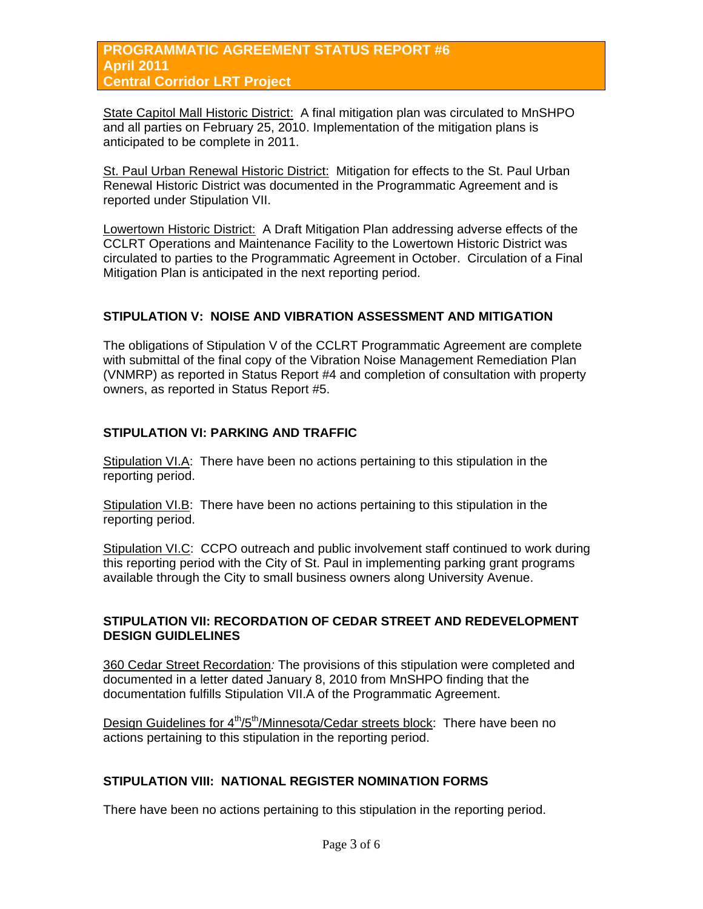# **PROGRAMMATIC AGREEMENT STATUS REPORT #6 April 2011 Central Corridor LRT Project**

State Capitol Mall Historic District: A final mitigation plan was circulated to MnSHPO and all parties on February 25, 2010. Implementation of the mitigation plans is anticipated to be complete in 2011.

St. Paul Urban Renewal Historic District: Mitigation for effects to the St. Paul Urban Renewal Historic District was documented in the Programmatic Agreement and is reported under Stipulation VII.

Lowertown Historic District: A Draft Mitigation Plan addressing adverse effects of the CCLRT Operations and Maintenance Facility to the Lowertown Historic District was circulated to parties to the Programmatic Agreement in October. Circulation of a Final Mitigation Plan is anticipated in the next reporting period.

# **STIPULATION V: NOISE AND VIBRATION ASSESSMENT AND MITIGATION**

The obligations of Stipulation V of the CCLRT Programmatic Agreement are complete with submittal of the final copy of the Vibration Noise Management Remediation Plan (VNMRP) as reported in Status Report #4 and completion of consultation with property owners, as reported in Status Report #5.

# **STIPULATION VI: PARKING AND TRAFFIC**

Stipulation VI.A: There have been no actions pertaining to this stipulation in the reporting period.

Stipulation VI.B: There have been no actions pertaining to this stipulation in the reporting period.

Stipulation VI.C: CCPO outreach and public involvement staff continued to work during this reporting period with the City of St. Paul in implementing parking grant programs available through the City to small business owners along University Avenue.

#### **STIPULATION VII: RECORDATION OF CEDAR STREET AND REDEVELOPMENT DESIGN GUIDLELINES**

360 Cedar Street Recordation*:* The provisions of this stipulation were completed and documented in a letter dated January 8, 2010 from MnSHPO finding that the documentation fulfills Stipulation VII.A of the Programmatic Agreement.

Design Guidelines for  $4<sup>th</sup>/5<sup>th</sup>/Minnesota/Cedar streets block: There have been no$ actions pertaining to this stipulation in the reporting period.

# **STIPULATION VIII: NATIONAL REGISTER NOMINATION FORMS**

There have been no actions pertaining to this stipulation in the reporting period.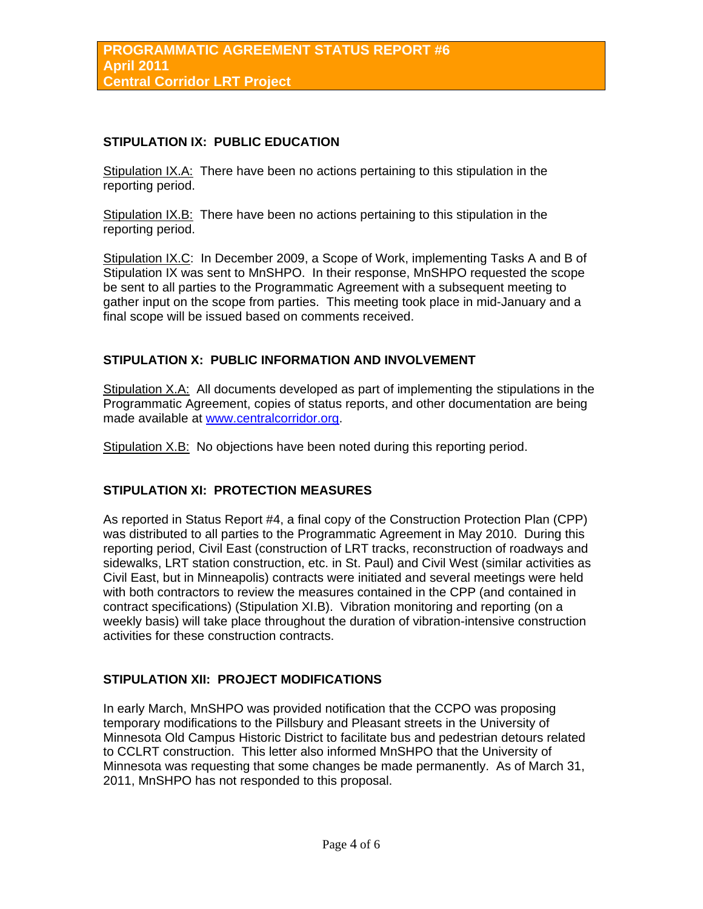## **STIPULATION IX: PUBLIC EDUCATION**

Stipulation IX.A: There have been no actions pertaining to this stipulation in the reporting period.

Stipulation IX.B: There have been no actions pertaining to this stipulation in the reporting period.

Stipulation IX.C: In December 2009, a Scope of Work, implementing Tasks A and B of Stipulation IX was sent to MnSHPO. In their response, MnSHPO requested the scope be sent to all parties to the Programmatic Agreement with a subsequent meeting to gather input on the scope from parties. This meeting took place in mid-January and a final scope will be issued based on comments received.

# **STIPULATION X: PUBLIC INFORMATION AND INVOLVEMENT**

Stipulation X.A: All documents developed as part of implementing the stipulations in the Programmatic Agreement, copies of status reports, and other documentation are being made available at [www.centralcorridor.org](http://www.centralcorridor.org/).

Stipulation X.B: No objections have been noted during this reporting period.

## **STIPULATION XI: PROTECTION MEASURES**

As reported in Status Report #4, a final copy of the Construction Protection Plan (CPP) was distributed to all parties to the Programmatic Agreement in May 2010. During this reporting period, Civil East (construction of LRT tracks, reconstruction of roadways and sidewalks, LRT station construction, etc. in St. Paul) and Civil West (similar activities as Civil East, but in Minneapolis) contracts were initiated and several meetings were held with both contractors to review the measures contained in the CPP (and contained in contract specifications) (Stipulation XI.B). Vibration monitoring and reporting (on a weekly basis) will take place throughout the duration of vibration-intensive construction activities for these construction contracts.

## **STIPULATION XII: PROJECT MODIFICATIONS**

In early March, MnSHPO was provided notification that the CCPO was proposing temporary modifications to the Pillsbury and Pleasant streets in the University of Minnesota Old Campus Historic District to facilitate bus and pedestrian detours related to CCLRT construction. This letter also informed MnSHPO that the University of Minnesota was requesting that some changes be made permanently. As of March 31, 2011, MnSHPO has not responded to this proposal.